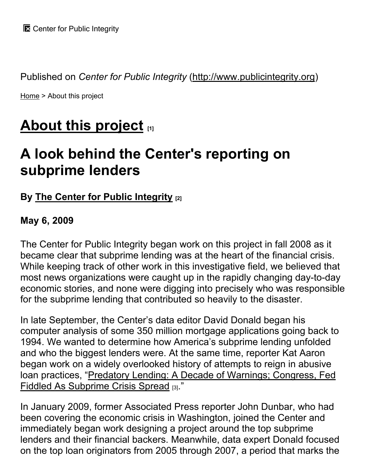Published on *Center for Public Integrity* (http://www.publicintegrity.org)

Home > About this project

# **About this project [1]**

# **A look behind the Center's reporting on subprime lenders**

# **By The Center for Public Integrity [2]**

## **May 6, 2009**

The Center for Public Integrity began work on this project in fall 2008 as it became clear that subprime lending was at the heart of the financial crisis. While keeping track of other work in this investigative field, we believed that most news organizations were caught up in the rapidly changing day-to-day economic stories, and none were digging into precisely who was responsible for the subprime lending that contributed so heavily to the disaster.

In late September, the Center's data editor David Donald began his computer analysis of some 350 million mortgage applications going back to 1994. We wanted to determine how America's subprime lending unfolded and who the biggest lenders were. At the same time, reporter Kat Aaron began work on a widely overlooked history of attempts to reign in abusive loan practices, "Predatory Lending: A Decade of Warnings; Congress, Fed Fiddled As Subprime Crisis Spread [3]."

In January 2009, former Associated Press reporter John Dunbar, who had been covering the economic crisis in Washington, joined the Center and immediately began work designing a project around the top subprime lenders and their financial backers. Meanwhile, data expert Donald focused on the top loan originators from 2005 through 2007, a period that marks the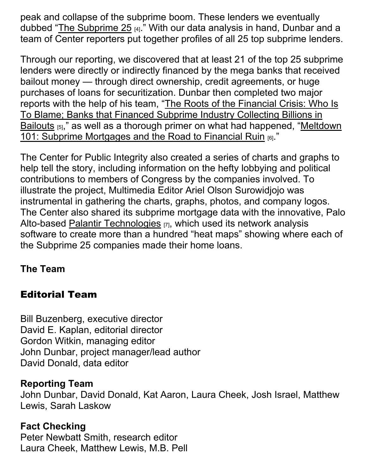peak and collapse of the subprime boom. These lenders we eventually dubbed "The Subprime 25  $_{[4]}$ ." With our data analysis in hand, Dunbar and a team of Center reporters put together profiles of all 25 top subprime lenders.

Through our reporting, we discovered that at least 21 of the top 25 subprime lenders were directly or indirectly financed by the mega banks that received bailout money — through direct ownership, credit agreements, or huge purchases of loans for securitization. Dunbar then completed two major reports with the help of his team, "The Roots of the Financial Crisis: Who Is To Blame; Banks that Financed Subprime Industry Collecting Billions in Bailouts  $_{[5]}$ ," as well as a thorough primer on what had happened, "Meltdown" 101: Subprime Mortgages and the Road to Financial Ruin [6]."

The Center for Public Integrity also created a series of charts and graphs to help tell the story, including information on the hefty lobbying and political contributions to members of Congress by the companies involved. To illustrate the project, Multimedia Editor Ariel Olson Surowidjojo was instrumental in gathering the charts, graphs, photos, and company logos. The Center also shared its subprime mortgage data with the innovative, Palo Alto-based Palantir Technologies [7], which used its network analysis software to create more than a hundred "heat maps" showing where each of the Subprime 25 companies made their home loans.

# **The Team**

# Editorial Team

Bill Buzenberg, executive director David E. Kaplan, editorial director Gordon Witkin, managing editor John Dunbar, project manager/lead author David Donald, data editor

## **Reporting Team**

John Dunbar, David Donald, Kat Aaron, Laura Cheek, Josh Israel, Matthew Lewis, Sarah Laskow

## **Fact Checking**

Peter Newbatt Smith, research editor Laura Cheek, Matthew Lewis, M.B. Pell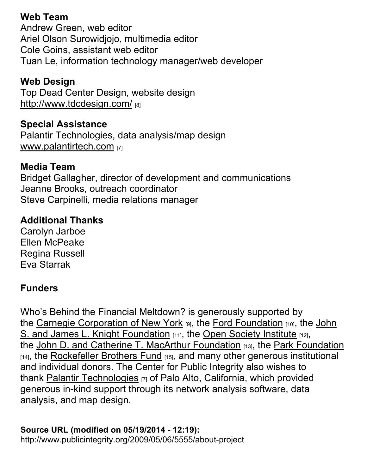# **Web Team**

Andrew Green, web editor Ariel Olson Surowidjojo, multimedia editor Cole Goins, assistant web editor Tuan Le, information technology manager/web developer

# **Web Design**

Top Dead Center Design, website design http://www.tdcdesign.com/

# **Special Assistance**

Palantir Technologies, data analysis/map design www.palantirtech.com [7]

# **Media Team**

Bridget Gallagher, director of development and communications Jeanne Brooks, outreach coordinator Steve Carpinelli, media relations manager

# **Additional Thanks**

Carolyn Jarboe Ellen McPeake Regina Russell Eva Starrak

# **Funders**

Who's Behind the Financial Meltdown? is generously supported by the Carnegie Corporation of New York [9], the Ford Foundation [10], the John S. and James L. Knight Foundation [11], the Open Society Institute [12], the John D. and Catherine T. MacArthur Foundation [13], the Park Foundation  $[14]$ , the Rockefeller Brothers Fund  $[15]$ , and many other generous institutional and individual donors. The Center for Public Integrity also wishes to thank Palantir Technologies [7] of Palo Alto, California, which provided generous in-kind support through its network analysis software, data analysis, and map design.

**Source URL (modified on 05/19/2014 - 12:19):** http://www.publicintegrity.org/2009/05/06/5555/about-project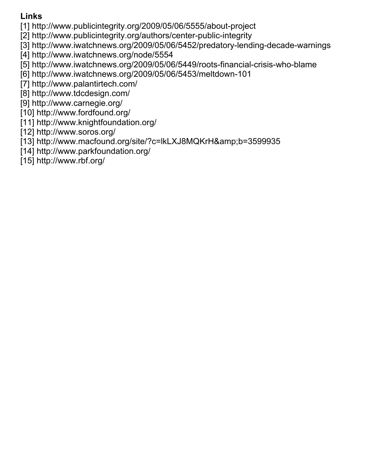## **Links**

[1] http://www.publicintegrity.org/2009/05/06/5555/about-project

[2] http://www.publicintegrity.org/authors/center-public-integrity

[3] http://www.iwatchnews.org/2009/05/06/5452/predatory-lending-decade-warnings

[4] http://www.iwatchnews.org/node/5554

[5] http://www.iwatchnews.org/2009/05/06/5449/roots-financial-crisis-who-blame

[6] http://www.iwatchnews.org/2009/05/06/5453/meltdown-101

[7] http://www.palantirtech.com/

[8] http://www.tdcdesign.com/

[9] http://www.carnegie.org/

[10] http://www.fordfound.org/

[11] http://www.knightfoundation.org/

[12] http://www.soros.org/

[13] http://www.macfound.org/site/?c=lkLXJ8MQKrH&b=3599935

[14] http://www.parkfoundation.org/

[15] http://www.rbf.org/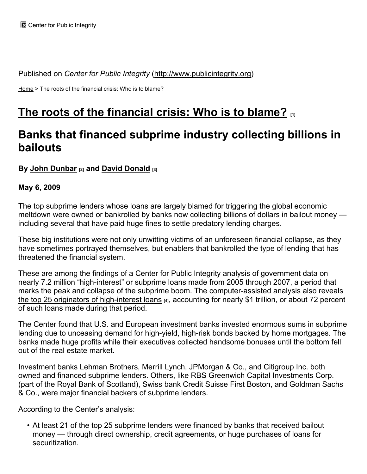Published on *Center for Public Integrity* (http://www.publicintegrity.org)

Home > The roots of the financial crisis: Who is to blame?

# **The roots of the financial crisis: Who is to blame? [1]**

# **Banks that financed subprime industry collecting billions in bailouts**

## **By John Dunbar [2] and David Donald [3]**

### **May 6, 2009**

The top subprime lenders whose loans are largely blamed for triggering the global economic meltdown were owned or bankrolled by banks now collecting billions of dollars in bailout money including several that have paid huge fines to settle predatory lending charges.

These big institutions were not only unwitting victims of an unforeseen financial collapse, as they have sometimes portrayed themselves, but enablers that bankrolled the type of lending that has threatened the financial system.

These are among the findings of a Center for Public Integrity analysis of government data on nearly 7.2 million "high-interest" or subprime loans made from 2005 through 2007, a period that marks the peak and collapse of the subprime boom. The computer-assisted analysis also reveals the top 25 originators of high-interest loans  $H_1$ , accounting for nearly \$1 trillion, or about 72 percent of such loans made during that period.

The Center found that U.S. and European investment banks invested enormous sums in subprime lending due to unceasing demand for high-yield, high-risk bonds backed by home mortgages. The banks made huge profits while their executives collected handsome bonuses until the bottom fell out of the real estate market.

Investment banks Lehman Brothers, Merrill Lynch, JPMorgan & Co., and Citigroup Inc. both owned and financed subprime lenders. Others, like RBS Greenwich Capital Investments Corp. (part of the Royal Bank of Scotland), Swiss bank Credit Suisse First Boston, and Goldman Sachs & Co., were major financial backers of subprime lenders.

According to the Center's analysis:

• At least 21 of the top 25 subprime lenders were financed by banks that received bailout money — through direct ownership, credit agreements, or huge purchases of loans for securitization.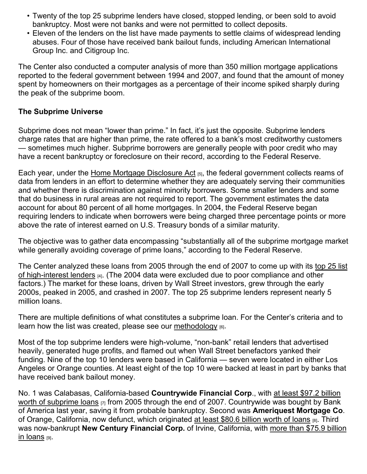- Twenty of the top 25 subprime lenders have closed, stopped lending, or been sold to avoid bankruptcy. Most were not banks and were not permitted to collect deposits.
- Eleven of the lenders on the list have made payments to settle claims of widespread lending abuses. Four of those have received bank bailout funds, including American International Group Inc. and Citigroup Inc.

The Center also conducted a computer analysis of more than 350 million mortgage applications reported to the federal government between 1994 and 2007, and found that the amount of money spent by homeowners on their mortgages as a percentage of their income spiked sharply during the peak of the subprime boom.

## **The Subprime Universe**

Subprime does not mean "lower than prime." In fact, it's just the opposite. Subprime lenders charge rates that are higher than prime, the rate offered to a bank's most creditworthy customers — sometimes much higher. Subprime borrowers are generally people with poor credit who may have a recent bankruptcy or foreclosure on their record, according to the Federal Reserve.

Each year, under the Home Mortgage Disclosure Act [5], the federal government collects reams of data from lenders in an effort to determine whether they are adequately serving their communities and whether there is discrimination against minority borrowers. Some smaller lenders and some that do business in rural areas are not required to report. The government estimates the data account for about 80 percent of all home mortgages. In 2004, the Federal Reserve began requiring lenders to indicate when borrowers were being charged three percentage points or more above the rate of interest earned on U.S. Treasury bonds of a similar maturity.

The objective was to gather data encompassing "substantially all of the subprime mortgage market while generally avoiding coverage of prime loans," according to the Federal Reserve.

The Center analyzed these loans from 2005 through the end of 2007 to come up with its top 25 list of high-interest lenders [4]. (The 2004 data were excluded due to poor compliance and other factors.) The market for these loans, driven by Wall Street investors, grew through the early 2000s, peaked in 2005, and crashed in 2007. The top 25 subprime lenders represent nearly 5 million loans.

There are multiple definitions of what constitutes a subprime loan. For the Center's criteria and to learn how the list was created, please see our methodology  $_{[6]}$ .

Most of the top subprime lenders were high-volume, "non-bank" retail lenders that advertised heavily, generated huge profits, and flamed out when Wall Street benefactors yanked their funding. Nine of the top 10 lenders were based in California — seven were located in either Los Angeles or Orange counties. At least eight of the top 10 were backed at least in part by banks that have received bank bailout money.

No. 1 was Calabasas, California-based **Countrywide Financial Corp**., with at least \$97.2 billion worth of subprime loans  $_{[7]}$  from 2005 through the end of 2007. Countrywide was bought by Bank of America last year, saving it from probable bankruptcy. Second was **Ameriquest Mortgage Co**. of Orange, California, now defunct, which originated at least \$80.6 billion worth of loans [8]. Third was now-bankrupt **New Century Financial Corp.** of Irvine, California, with more than \$75.9 billion **in loans** [9].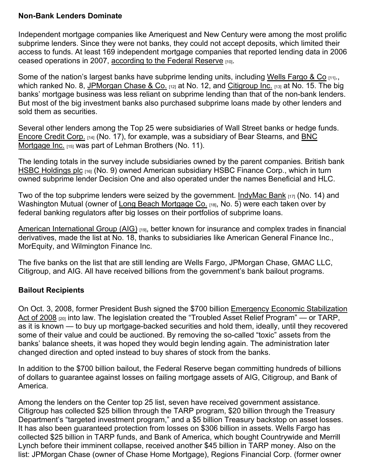### **Non-Bank Lenders Dominate**

Independent mortgage companies like Ameriquest and New Century were among the most prolific subprime lenders. Since they were not banks, they could not accept deposits, which limited their access to funds. At least 169 independent mortgage companies that reported lending data in 2006 ceased operations in 2007, according to the Federal Reserve [10].

Some of the nation's largest banks have subprime lending units, including Wells Fargo & Co [11]. which ranked No. 8, JPMorgan Chase & Co. [12] at No. 12, and Citigroup Inc. [13] at No. 15. The big banks' mortgage business was less reliant on subprime lending than that of the non-bank lenders. But most of the big investment banks also purchased subprime loans made by other lenders and sold them as securities.

Several other lenders among the Top 25 were subsidiaries of Wall Street banks or hedge funds. Encore Credit Corp. [14] (No. 17), for example, was a subsidiary of Bear Stearns, and BNC Mortgage Inc. [15] was part of Lehman Brothers (No. 11).

The lending totals in the survey include subsidiaries owned by the parent companies. British bank HSBC Holdings plc [16] (No. 9) owned American subsidiary HSBC Finance Corp., which in turn owned subprime lender Decision One and also operated under the names Beneficial and HLC.

Two of the top subprime lenders were seized by the government. IndyMac Bank  $_{[17]}$  (No. 14) and Washington Mutual (owner of Long Beach Mortgage Co. [18], No. 5) were each taken over by federal banking regulators after big losses on their portfolios of subprime loans.

American International Group (AIG) [19], better known for insurance and complex trades in financial derivatives, made the list at No. 18, thanks to subsidiaries like American General Finance Inc., MorEquity, and Wilmington Finance Inc.

The five banks on the list that are still lending are Wells Fargo, JPMorgan Chase, GMAC LLC, Citigroup, and AIG. All have received billions from the government's bank bailout programs.

## **Bailout Recipients**

On Oct. 3, 2008, former President Bush signed the \$700 billion Emergency Economic Stabilization Act of 2008 [20] into law. The legislation created the "Troubled Asset Relief Program" — or TARP, as it is known — to buy up mortgage-backed securities and hold them, ideally, until they recovered some of their value and could be auctioned. By removing the so-called "toxic" assets from the banks' balance sheets, it was hoped they would begin lending again. The administration later changed direction and opted instead to buy shares of stock from the banks.

In addition to the \$700 billion bailout, the Federal Reserve began committing hundreds of billions of dollars to guarantee against losses on failing mortgage assets of AIG, Citigroup, and Bank of America.

Among the lenders on the Center top 25 list, seven have received government assistance. Citigroup has collected \$25 billion through the TARP program, \$20 billion through the Treasury Department's "targeted investment program," and a \$5 billion Treasury backstop on asset losses. It has also been guaranteed protection from losses on \$306 billion in assets. Wells Fargo has collected \$25 billion in TARP funds, and Bank of America, which bought Countrywide and Merrill Lynch before their imminent collapse, received another \$45 billion in TARP money. Also on the list: JPMorgan Chase (owner of Chase Home Mortgage), Regions Financial Corp. (former owner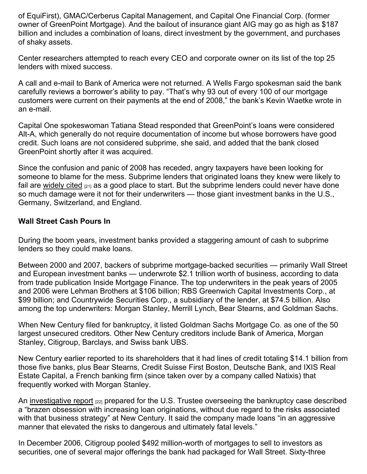of EquiFirst), GMAC/Cerberus Capital Management, and Capital One Financial Corp. (former owner of GreenPoint Mortgage). And the bailout of insurance giant AIG may go as high as \$187 billion and includes a combination of loans, direct investment by the government, and purchases of shaky assets.

Center researchers attempted to reach every CEO and corporate owner on its list of the top 25 lenders with mixed success.

A call and e-mail to Bank of America were not returned. A Wells Fargo spokesman said the bank carefully reviews a borrower's ability to pay. "That's why 93 out of every 100 of our mortgage customers were current on their payments at the end of 2008," the bank's Kevin Waetke wrote in an e-mail.

Capital One spokeswoman Tatiana Stead responded that GreenPoint's loans were considered Alt-A, which generally do not require documentation of income but whose borrowers have good credit. Such loans are not considered subprime, she said, and added that the bank closed GreenPoint shortly after it was acquired.

Since the confusion and panic of 2008 has receded, angry taxpayers have been looking for someone to blame for the mess. Subprime lenders that originated loans they knew were likely to fail are widely cited  $_{[21]}$  as a good place to start. But the subprime lenders could never have done so much damage were it not for their underwriters — those giant investment banks in the U.S., Germany, Switzerland, and England.

### **Wall Street Cash Pours In**

During the boom years, investment banks provided a staggering amount of cash to subprime lenders so they could make loans.

Between 2000 and 2007, backers of subprime mortgage-backed securities — primarily Wall Street and European investment banks — underwrote \$2.1 trillion worth of business, according to data from trade publication Inside Mortgage Finance. The top underwriters in the peak years of 2005 and 2006 were Lehman Brothers at \$106 billion; RBS Greenwich Capital Investments Corp., at \$99 billion; and Countrywide Securities Corp., a subsidiary of the lender, at \$74.5 billion. Also among the top underwriters: Morgan Stanley, Merrill Lynch, Bear Stearns, and Goldman Sachs.

When New Century filed for bankruptcy, it listed Goldman Sachs Mortgage Co. as one of the 50 largest unsecured creditors. Other New Century creditors include Bank of America, Morgan Stanley, Citigroup, Barclays, and Swiss bank UBS.

New Century earlier reported to its shareholders that it had lines of credit totaling \$14.1 billion from those five banks, plus Bear Stearns, Credit Suisse First Boston, Deutsche Bank, and IXIS Real Estate Capital, a French banking firm (since taken over by a company called Natixis) that frequently worked with Morgan Stanley.

An investigative report [22] prepared for the U.S. Trustee overseeing the bankruptcy case described a "brazen obsession with increasing loan originations, without due regard to the risks associated with that business strategy" at New Century. It said the company made loans "in an aggressive manner that elevated the risks to dangerous and ultimately fatal levels."

In December 2006, Citigroup pooled \$492 million-worth of mortgages to sell to investors as securities, one of several major offerings the bank had packaged for Wall Street. Sixty-three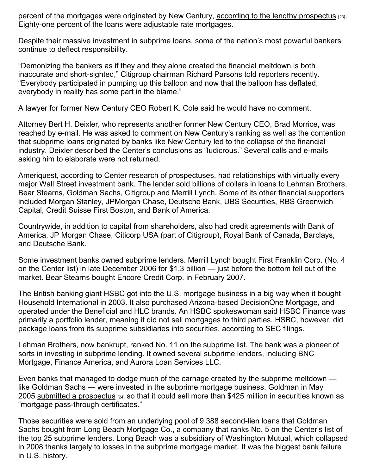percent of the mortgages were originated by New Century, according to the lengthy prospectus [23]. Eighty-one percent of the loans were adjustable rate mortgages.

Despite their massive investment in subprime loans, some of the nation's most powerful bankers continue to deflect responsibility.

"Demonizing the bankers as if they and they alone created the financial meltdown is both inaccurate and short-sighted," Citigroup chairman Richard Parsons told reporters recently. "Everybody participated in pumping up this balloon and now that the balloon has deflated, everybody in reality has some part in the blame."

A lawyer for former New Century CEO Robert K. Cole said he would have no comment.

Attorney Bert H. Deixler, who represents another former New Century CEO, Brad Morrice, was reached by e-mail. He was asked to comment on New Century's ranking as well as the contention that subprime loans originated by banks like New Century led to the collapse of the financial industry. Deixler described the Center's conclusions as "ludicrous." Several calls and e-mails asking him to elaborate were not returned.

Ameriquest, according to Center research of prospectuses, had relationships with virtually every major Wall Street investment bank. The lender sold billions of dollars in loans to Lehman Brothers, Bear Stearns, Goldman Sachs, Citigroup and Merrill Lynch. Some of its other financial supporters included Morgan Stanley, JPMorgan Chase, Deutsche Bank, UBS Securities, RBS Greenwich Capital, Credit Suisse First Boston, and Bank of America.

Countrywide, in addition to capital from shareholders, also had credit agreements with Bank of America, JP Morgan Chase, Citicorp USA (part of Citigroup), Royal Bank of Canada, Barclays, and Deutsche Bank.

Some investment banks owned subprime lenders. Merrill Lynch bought First Franklin Corp. (No. 4 on the Center list) in late December 2006 for \$1.3 billion — just before the bottom fell out of the market. Bear Stearns bought Encore Credit Corp. in February 2007.

The British banking giant HSBC got into the U.S. mortgage business in a big way when it bought Household International in 2003. It also purchased Arizona-based DecisionOne Mortgage, and operated under the Beneficial and HLC brands. An HSBC spokeswoman said HSBC Finance was primarily a portfolio lender, meaning it did not sell mortgages to third parties. HSBC, however, did package loans from its subprime subsidiaries into securities, according to SEC filings.

Lehman Brothers, now bankrupt, ranked No. 11 on the subprime list. The bank was a pioneer of sorts in investing in subprime lending. It owned several subprime lenders, including BNC Mortgage, Finance America, and Aurora Loan Services LLC.

Even banks that managed to dodge much of the carnage created by the subprime meltdown like Goldman Sachs — were invested in the subprime mortgage business. Goldman in May 2005 submitted a prospectus <sub>[24]</sub> so that it could sell more than \$425 million in securities known as "mortgage pass-through certificates."

Those securities were sold from an underlying pool of 9,388 second-lien loans that Goldman Sachs bought from Long Beach Mortgage Co., a company that ranks No. 5 on the Center's list of the top 25 subprime lenders. Long Beach was a subsidiary of Washington Mutual, which collapsed in 2008 thanks largely to losses in the subprime mortgage market. It was the biggest bank failure in U.S. history.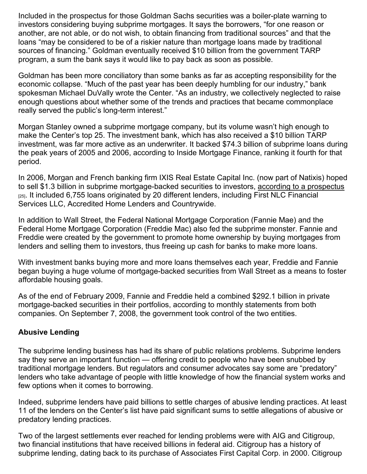Included in the prospectus for those Goldman Sachs securities was a boiler-plate warning to investors considering buying subprime mortgages. It says the borrowers, "for one reason or another, are not able, or do not wish, to obtain financing from traditional sources" and that the loans "may be considered to be of a riskier nature than mortgage loans made by traditional sources of financing." Goldman eventually received \$10 billion from the government TARP program, a sum the bank says it would like to pay back as soon as possible.

Goldman has been more conciliatory than some banks as far as accepting responsibility for the economic collapse. "Much of the past year has been deeply humbling for our industry," bank spokesman Michael DuVally wrote the Center. "As an industry, we collectively neglected to raise enough questions about whether some of the trends and practices that became commonplace really served the public's long-term interest."

Morgan Stanley owned a subprime mortgage company, but its volume wasn't high enough to make the Center's top 25. The investment bank, which has also received a \$10 billion TARP investment, was far more active as an underwriter. It backed \$74.3 billion of subprime loans during the peak years of 2005 and 2006, according to Inside Mortgage Finance, ranking it fourth for that period.

In 2006, Morgan and French banking firm IXIS Real Estate Capital Inc. (now part of Natixis) hoped to sell \$1.3 billion in subprime mortgage-backed securities to investors, according to a prospectus [25]. It included 6,755 loans originated by 20 different lenders, including First NLC Financial Services LLC, Accredited Home Lenders and Countrywide.

In addition to Wall Street, the Federal National Mortgage Corporation (Fannie Mae) and the Federal Home Mortgage Corporation (Freddie Mac) also fed the subprime monster. Fannie and Freddie were created by the government to promote home ownership by buying mortgages from lenders and selling them to investors, thus freeing up cash for banks to make more loans.

With investment banks buying more and more loans themselves each year, Freddie and Fannie began buying a huge volume of mortgage-backed securities from Wall Street as a means to foster affordable housing goals.

As of the end of February 2009, Fannie and Freddie held a combined \$292.1 billion in private mortgage-backed securities in their portfolios, according to monthly statements from both companies. On September 7, 2008, the government took control of the two entities.

## **Abusive Lending**

The subprime lending business has had its share of public relations problems. Subprime lenders say they serve an important function — offering credit to people who have been snubbed bv traditional mortgage lenders. But regulators and consumer advocates say some are "predatory" lenders who take advantage of people with little knowledge of how the financial system works and few options when it comes to borrowing.

Indeed, subprime lenders have paid billions to settle charges of abusive lending practices. At least 11 of the lenders on the Center's list have paid significant sums to settle allegations of abusive or predatory lending practices.

Two of the largest settlements ever reached for lending problems were with AIG and Citigroup, two financial institutions that have received billions in federal aid. Citigroup has a history of subprime lending, dating back to its purchase of Associates First Capital Corp. in 2000. Citigroup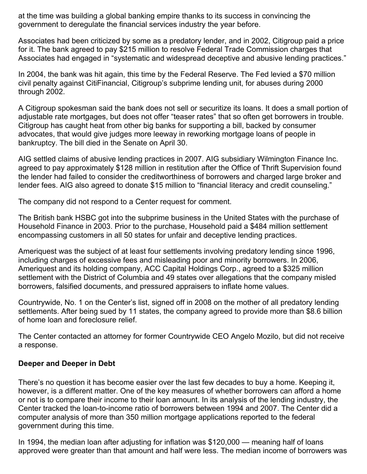at the time was building a global banking empire thanks to its success in convincing the government to deregulate the financial services industry the year before.

Associates had been criticized by some as a predatory lender, and in 2002, Citigroup paid a price for it. The bank agreed to pay \$215 million to resolve Federal Trade Commission charges that Associates had engaged in "systematic and widespread deceptive and abusive lending practices."

In 2004, the bank was hit again, this time by the Federal Reserve. The Fed levied a \$70 million civil penalty against CitiFinancial, Citigroup's subprime lending unit, for abuses during 2000 through 2002.

A Citigroup spokesman said the bank does not sell or securitize its loans. It does a small portion of adjustable rate mortgages, but does not offer "teaser rates" that so often get borrowers in trouble. Citigroup has caught heat from other big banks for supporting a bill, backed by consumer advocates, that would give judges more leeway in reworking mortgage loans of people in bankruptcy. The bill died in the Senate on April 30.

AIG settled claims of abusive lending practices in 2007. AIG subsidiary Wilmington Finance Inc. agreed to pay approximately \$128 million in restitution after the Office of Thrift Supervision found the lender had failed to consider the creditworthiness of borrowers and charged large broker and lender fees. AIG also agreed to donate \$15 million to "financial literacy and credit counseling."

The company did not respond to a Center request for comment.

The British bank HSBC got into the subprime business in the United States with the purchase of Household Finance in 2003. Prior to the purchase, Household paid a \$484 million settlement encompassing customers in all 50 states for unfair and deceptive lending practices.

Ameriquest was the subject of at least four settlements involving predatory lending since 1996, including charges of excessive fees and misleading poor and minority borrowers. In 2006, Ameriquest and its holding company, ACC Capital Holdings Corp., agreed to a \$325 million settlement with the District of Columbia and 49 states over allegations that the company misled borrowers, falsified documents, and pressured appraisers to inflate home values.

Countrywide, No. 1 on the Center's list, signed off in 2008 on the mother of all predatory lending settlements. After being sued by 11 states, the company agreed to provide more than \$8.6 billion of home loan and foreclosure relief.

The Center contacted an attorney for former Countrywide CEO Angelo Mozilo, but did not receive a response.

#### **Deeper and Deeper in Debt**

There's no question it has become easier over the last few decades to buy a home. Keeping it, however, is a different matter. One of the key measures of whether borrowers can afford a home or not is to compare their income to their loan amount. In its analysis of the lending industry, the Center tracked the loan-to-income ratio of borrowers between 1994 and 2007. The Center did a computer analysis of more than 350 million mortgage applications reported to the federal government during this time.

In 1994, the median loan after adjusting for inflation was \$120,000 — meaning half of loans approved were greater than that amount and half were less. The median income of borrowers was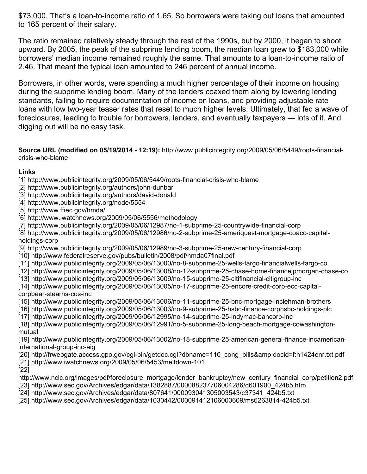\$73,000. That's a loan-to-income ratio of 1.65. So borrowers were taking out loans that amounted to 165 percent of their salary.

The ratio remained relatively steady through the rest of the 1990s, but by 2000, it began to shoot upward. By 2005, the peak of the subprime lending boom, the median loan grew to \$183,000 while borrowers' median income remained roughly the same. That amounts to a loan-to-income ratio of 2.46. That meant the typical loan amounted to 246 percent of annual income.

Borrowers, in other words, were spending a much higher percentage of their income on housing during the subprime lending boom. Many of the lenders coaxed them along by lowering lending standards, failing to require documentation of income on loans, and providing adjustable rate loans with low two-year teaser rates that reset to much higher levels. Ultimately, that fed a wave of foreclosures, leading to trouble for borrowers, lenders, and eventually taxpayers — lots of it. And digging out will be no easy task.

**Source URL (modified on 05/19/2014 - 12:19):** http://www.publicintegrity.org/2009/05/06/5449/roots-financialcrisis-who-blame

#### **Links**

- [1] http://www.publicintegrity.org/2009/05/06/5449/roots-financial-crisis-who-blame
- [2] http://www.publicintegrity.org/authors/john-dunbar
- [3] http://www.publicintegrity.org/authors/david-donald
- [4] http://www.publicintegrity.org/node/5554
- [5] http://www.ffiec.gov/hmda/
- [6] http://www.iwatchnews.org/2009/05/06/5556/methodology
- [7] http://www.publicintegrity.org/2009/05/06/12987/no-1-subprime-25-countrywide-financial-corp
- [8] http://www.publicintegrity.org/2009/05/06/12986/no-2-subprime-25-ameriquest-mortgage-coacc-capitalholdings-corp
- [9] http://www.publicintegrity.org/2009/05/06/12989/no-3-subprime-25-new-century-financial-corp [10] http://www.federalreserve.gov/pubs/bulletin/2008/pdf/hmda07final.pdf
- [11] http://www.publicintegrity.org/2009/05/06/13000/no-8-subprime-25-wells-fargo-financialwells-fargo-co
- [12] http://www.publicintegrity.org/2009/05/06/13008/no-12-subprime-25-chase-home-financejpmorgan-chase-co
- [13] http://www.publicintegrity.org/2009/05/06/13009/no-15-subprime-25-citifinancial-citigroup-inc
- [14] http://www.publicintegrity.org/2009/05/06/13005/no-17-subprime-25-encore-credit-corp-ecc-capitalcorpbear-stearns-cos-inc
- [15] http://www.publicintegrity.org/2009/05/06/13006/no-11-subprime-25-bnc-mortgage-inclehman-brothers
- [16] http://www.publicintegrity.org/2009/05/06/13003/no-9-subprime-25-hsbc-finance-corphsbc-holdings-plc
- [17] http://www.publicintegrity.org/2009/05/06/12995/no-14-subprime-25-indymac-bancorp-inc
- [18] http://www.publicintegrity.org/2009/05/06/12991/no-5-subprime-25-long-beach-mortgage-cowashingtonmutual
- [19] http://www.publicintegrity.org/2009/05/06/13002/no-18-subprime-25-american-general-finance-incamericaninternational-group-inc-aig
- [20] http://frwebgate.access.gpo.gov/cgi-bin/getdoc.cgi?dbname=110\_cong\_bills&docid=f:h1424enr.txt.pdf [21] http://www.iwatchnews.org/2009/05/06/5453/meltdown-101
- [22]
- http://www.nclc.org/images/pdf/foreclosure\_mortgage/lender\_bankruptcy/new\_century\_financial\_corp/petition2.pdf [23] http://www.sec.gov/Archives/edgar/data/1382887/000088237706004286/d601900\_424b5.htm
- [24] http://www.sec.gov/Archives/edgar/data/807641/000093041305003543/c37341\_424b5.txt
- [25] http://www.sec.gov/Archives/edgar/data/1030442/000091412106003609/ms6263814-424b5.txt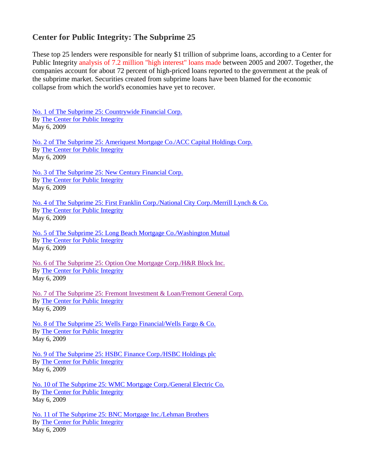## **Center for Public Integrity: The Subprime 25**

These top 25 lenders were responsible for nearly \$1 trillion of subprime loans, according to a Center for Public Integrity [analysis of 7.2 million "high interest" loans made](http://www.publicintegrity.org/2009/05/06/5556/methodology) between 2005 and 2007. Together, the companies account for about 72 percent of high-priced loans reported to the government at the peak of the subprime market. Securities created from subprime loans have been blamed for the economic collapse from which the world's economies have yet to recover.

[No. 1 of The Subprime 25: Countrywide Financial Corp.](http://www.publicintegrity.org/2009/05/06/12987/no-1-subprime-25-countrywide-financial-corp)  By [The Center for Public Integrity](http://www.publicintegrity.org/authors/center-public-integrity) May 6, 2009

[No. 2 of The Subprime 25: Ameriquest Mortgage Co./ACC Capital Holdings Corp.](http://www.publicintegrity.org/2009/05/06/12986/no-2-subprime-25-ameriquest-mortgage-coacc-capital-holdings-corp)  By [The Center for Public Integrity](http://www.publicintegrity.org/authors/center-public-integrity) May 6, 2009

[No. 3 of The Subprime 25: New Century Financial Corp.](http://www.publicintegrity.org/2009/05/06/12989/no-3-subprime-25-new-century-financial-corp)  By The Center for [Public Integrity](http://www.publicintegrity.org/authors/center-public-integrity) May 6, 2009

[No. 4 of The Subprime 25: First Franklin Corp./National City Corp./Merrill Lynch & Co.](http://www.publicintegrity.org/2009/05/06/12992/no-4-subprime-25-first-franklin-corpnational-city-corpmerrill-lynch-co)  By [The Center for Public Integrity](http://www.publicintegrity.org/authors/center-public-integrity) May 6, 2009

[No. 5 of The Subprime 25: Long Beach Mortgage Co./Washington Mutual](http://www.publicintegrity.org/2009/05/06/12991/no-5-subprime-25-long-beach-mortgage-cowashington-mutual)  By [The Center for Public Integrity](http://www.publicintegrity.org/authors/center-public-integrity) May 6, 2009

[No. 6 of The Subprime 25: Option One Mortgage Corp./H&R Block Inc.](http://www.publicintegrity.org/2009/05/06/12996/no-6-subprime-25-option-one-mortgage-corphr-block-inc)  By [The Center for Public Integrity](http://www.publicintegrity.org/authors/center-public-integrity) May 6, 2009

[No. 7 of The Subprime 25: Fremont Investment & Loan/Fremont General Corp.](http://www.publicintegrity.org/2009/05/06/12997/no-7-subprime-25-fremont-investment-loanfremont-general-corp)  By [The Center for Public Integrity](http://www.publicintegrity.org/authors/center-public-integrity) May 6, 2009

[No. 8 of The Subprime 25: Wells Fargo Financial/Wells Fargo & Co.](http://www.publicintegrity.org/2009/05/06/13000/no-8-subprime-25-wells-fargo-financialwells-fargo-co)  By [The Center for Public Integrity](http://www.publicintegrity.org/authors/center-public-integrity) May 6, 2009

[No. 9 of The Subprime 25: HSBC Finance Corp./HSBC Holdings plc](http://www.publicintegrity.org/2009/05/06/13003/no-9-subprime-25-hsbc-finance-corphsbc-holdings-plc)  By [The Center for Public Integrity](http://www.publicintegrity.org/authors/center-public-integrity) May 6, 2009

[No. 10 of The Subprime 25: WMC Mortgage Corp./General Electric Co.](http://www.publicintegrity.org/2009/05/06/13004/no-10-subprime-25-wmc-mortgage-corpgeneral-electric-co)  By [The Center for Public Integrity](http://www.publicintegrity.org/authors/center-public-integrity) May 6, 2009

[No. 11 of The Subprime 25: BNC Mortgage Inc./Lehman Brothers](http://www.publicintegrity.org/2009/05/06/13006/no-11-subprime-25-bnc-mortgage-inclehman-brothers)  By [The Center for Public Integrity](http://www.publicintegrity.org/authors/center-public-integrity) May 6, 2009